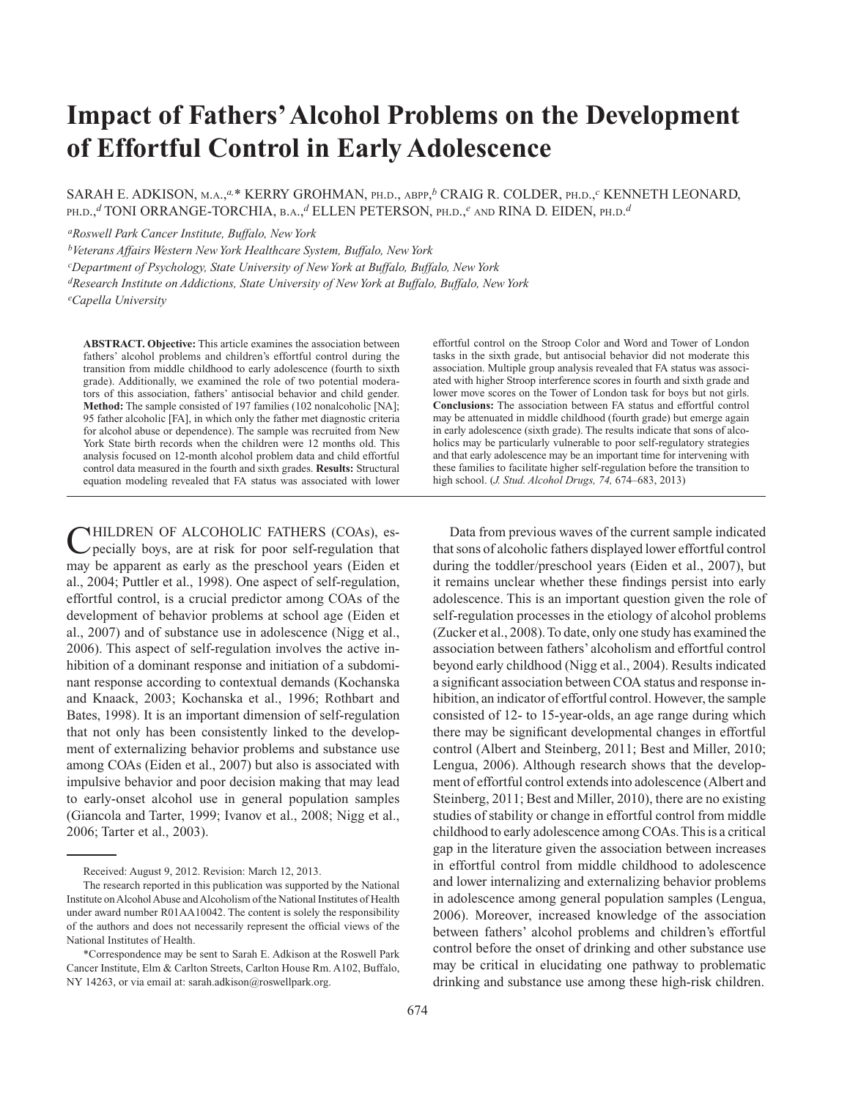# **Impact of Fathers' Alcohol Problems on the Development of Effortful Control in Early Adolescence**

SARAH E. ADKISON, M.A.,*a,*\* KERRY GROHMAN, PH.D., ABPP, *<sup>b</sup>* CRAIG R. COLDER, PH.D.,*<sup>c</sup>* KENNETH LEONARD, PH.D.,*<sup>d</sup>* TONI ORRANGE-TORCHIA, B.A.,*<sup>d</sup>* ELLEN PETERSON, PH.D.,*<sup>e</sup>* AND RINA D. EIDEN, PH.D. *d*

*aRoswell Park Cancer Institute, Buffalo, New York*

*bVeterans Affairs Western New York Healthcare System, Buffalo, New York*

*cDepartment of Psychology, State University of New York at Buffalo, Buffalo, New York*

*dResearch Institute on Addictions, State University of New York at Buffalo, Buffalo, New York*

*eCapella University*

**ABSTRACT. Objective:** This article examines the association between fathers' alcohol problems and children's effortful control during the transition from middle childhood to early adolescence (fourth to sixth grade). Additionally, we examined the role of two potential moderators of this association, fathers' antisocial behavior and child gender. **Method:** The sample consisted of 197 families (102 nonalcoholic [NA]; 95 father alcoholic [FA], in which only the father met diagnostic criteria for alcohol abuse or dependence). The sample was recruited from New York State birth records when the children were 12 months old. This analysis focused on 12-month alcohol problem data and child effortful control data measured in the fourth and sixth grades. **Results:** Structural equation modeling revealed that FA status was associated with lower

**NHILDREN OF ALCOHOLIC FATHERS (COAs), es**pecially boys, are at risk for poor self-regulation that may be apparent as early as the preschool years (Eiden et al., 2004; Puttler et al., 1998). One aspect of self-regulation, effortful control, is a crucial predictor among COAs of the development of behavior problems at school age (Eiden et al., 2007) and of substance use in adolescence (Nigg et al., 2006). This aspect of self-regulation involves the active inhibition of a dominant response and initiation of a subdominant response according to contextual demands (Kochanska and Knaack, 2003; Kochanska et al., 1996; Rothbart and Bates, 1998). It is an important dimension of self-regulation that not only has been consistently linked to the development of externalizing behavior problems and substance use among COAs (Eiden et al., 2007) but also is associated with impulsive behavior and poor decision making that may lead to early-onset alcohol use in general population samples (Giancola and Tarter, 1999; Ivanov et al., 2008; Nigg et al., 2006; Tarter et al., 2003).

effortful control on the Stroop Color and Word and Tower of London tasks in the sixth grade, but antisocial behavior did not moderate this association. Multiple group analysis revealed that FA status was associated with higher Stroop interference scores in fourth and sixth grade and lower move scores on the Tower of London task for boys but not girls. **Conclusions:** The association between FA status and effortful control may be attenuated in middle childhood (fourth grade) but emerge again in early adolescence (sixth grade). The results indicate that sons of alcoholics may be particularly vulnerable to poor self-regulatory strategies and that early adolescence may be an important time for intervening with these families to facilitate higher self-regulation before the transition to high school. (*J. Stud. Alcohol Drugs, 74,* 674–683, 2013)

 Data from previous waves of the current sample indicated that sons of alcoholic fathers displayed lower effortful control during the toddler/preschool years (Eiden et al., 2007), but it remains unclear whether these findings persist into early adolescence. This is an important question given the role of self-regulation processes in the etiology of alcohol problems (Zucker et al., 2008). To date, only one study has examined the association between fathers' alcoholism and effortful control beyond early childhood (Nigg et al., 2004). Results indicated a significant association between COA status and response inhibition, an indicator of effortful control. However, the sample consisted of 12- to 15-year-olds, an age range during which there may be significant developmental changes in effortful control (Albert and Steinberg, 2011; Best and Miller, 2010; Lengua, 2006). Although research shows that the development of effortful control extends into adolescence (Albert and Steinberg, 2011; Best and Miller, 2010), there are no existing studies of stability or change in effortful control from middle childhood to early adolescence among COAs. This is a critical gap in the literature given the association between increases in effortful control from middle childhood to adolescence and lower internalizing and externalizing behavior problems in adolescence among general population samples (Lengua, 2006). Moreover, increased knowledge of the association between fathers' alcohol problems and children's effortful control before the onset of drinking and other substance use may be critical in elucidating one pathway to problematic drinking and substance use among these high-risk children.

Received: August 9, 2012. Revision: March 12, 2013.

The research reported in this publication was supported by the National Institute on Alcohol Abuse and Alcoholism of the National Institutes of Health under award number R01AA10042. The content is solely the responsibility of the authors and does not necessarily represent the official views of the National Institutes of Health.

 <sup>\*</sup>Correspondence may be sent to Sarah E. Adkison at the Roswell Park Cancer Institute, Elm & Carlton Streets, Carlton House Rm. A102, Buffalo, NY 14263, or via email at: sarah.adkison@roswellpark.org.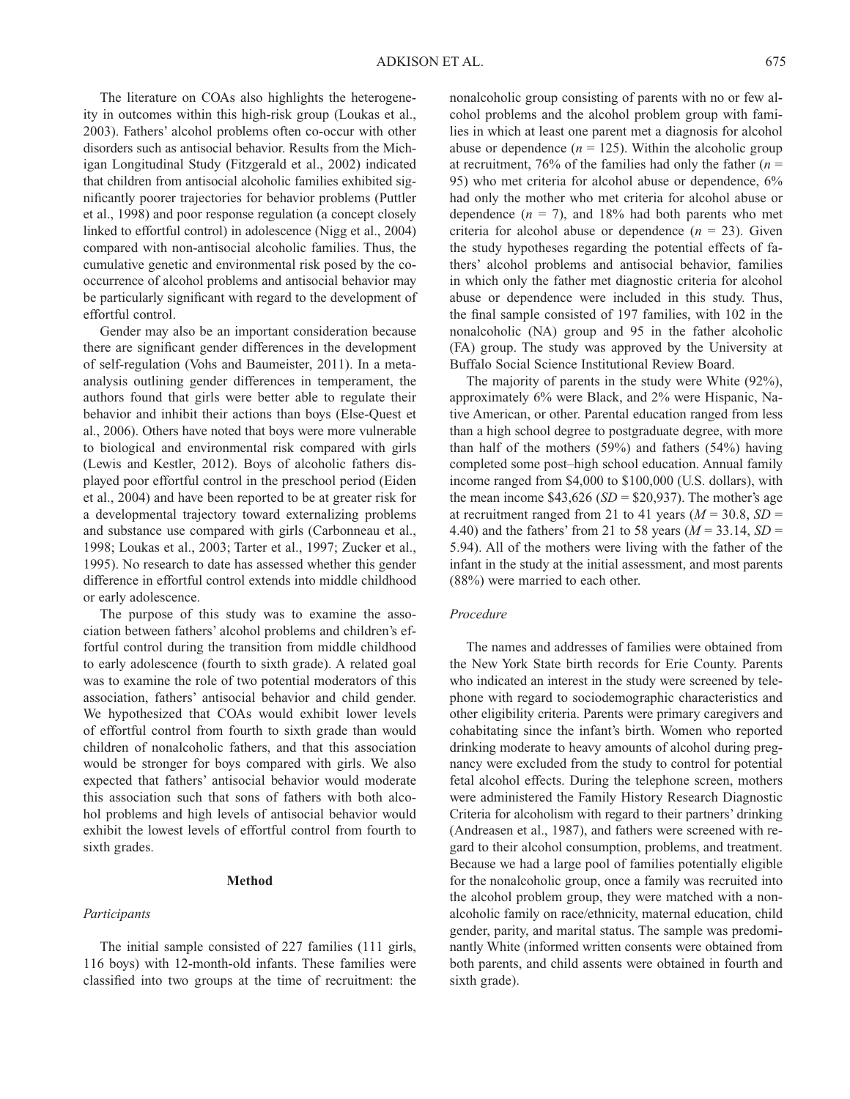The literature on COAs also highlights the heterogeneity in outcomes within this high-risk group (Loukas et al., 2003). Fathers' alcohol problems often co-occur with other disorders such as antisocial behavior. Results from the Michigan Longitudinal Study (Fitzgerald et al., 2002) indicated that children from antisocial alcoholic families exhibited significantly poorer trajectories for behavior problems (Puttler et al., 1998) and poor response regulation (a concept closely linked to effortful control) in adolescence (Nigg et al., 2004) compared with non-antisocial alcoholic families. Thus, the cumulative genetic and environmental risk posed by the cooccurrence of alcohol problems and antisocial behavior may be particularly significant with regard to the development of effortful control.

 Gender may also be an important consideration because there are significant gender differences in the development of self-regulation (Vohs and Baumeister, 2011). In a metaanalysis outlining gender differences in temperament, the authors found that girls were better able to regulate their behavior and inhibit their actions than boys (Else-Quest et al., 2006). Others have noted that boys were more vulnerable to biological and environmental risk compared with girls (Lewis and Kestler, 2012). Boys of alcoholic fathers displayed poor effortful control in the preschool period (Eiden et al., 2004) and have been reported to be at greater risk for a developmental trajectory toward externalizing problems and substance use compared with girls (Carbonneau et al., 1998; Loukas et al., 2003; Tarter et al., 1997; Zucker et al., 1995). No research to date has assessed whether this gender difference in effortful control extends into middle childhood or early adolescence.

 The purpose of this study was to examine the association between fathers' alcohol problems and children's effortful control during the transition from middle childhood to early adolescence (fourth to sixth grade). A related goal was to examine the role of two potential moderators of this association, fathers' antisocial behavior and child gender. We hypothesized that COAs would exhibit lower levels of effortful control from fourth to sixth grade than would children of nonalcoholic fathers, and that this association would be stronger for boys compared with girls. We also expected that fathers' antisocial behavior would moderate this association such that sons of fathers with both alcohol problems and high levels of antisocial behavior would exhibit the lowest levels of effortful control from fourth to sixth grades.

#### **Method**

## *Participants*

 The initial sample consisted of 227 families (111 girls, 116 boys) with 12-month-old infants. These families were classified into two groups at the time of recruitment: the

nonalcoholic group consisting of parents with no or few alcohol problems and the alcohol problem group with families in which at least one parent met a diagnosis for alcohol abuse or dependence  $(n = 125)$ . Within the alcoholic group at recruitment, 76% of the families had only the father (*n* = 95) who met criteria for alcohol abuse or dependence, 6% had only the mother who met criteria for alcohol abuse or dependence  $(n = 7)$ , and 18% had both parents who met criteria for alcohol abuse or dependence  $(n = 23)$ . Given the study hypotheses regarding the potential effects of fathers' alcohol problems and antisocial behavior, families in which only the father met diagnostic criteria for alcohol abuse or dependence were included in this study. Thus, the final sample consisted of 197 families, with 102 in the nonalcoholic (NA) group and 95 in the father alcoholic (FA) group. The study was approved by the University at Buffalo Social Science Institutional Review Board.

 The majority of parents in the study were White (92%), approximately 6% were Black, and 2% were Hispanic, Native American, or other. Parental education ranged from less than a high school degree to postgraduate degree, with more than half of the mothers (59%) and fathers (54%) having completed some post–high school education. Annual family income ranged from \$4,000 to \$100,000 (U.S. dollars), with the mean income  $$43,626(SD = $20,937)$ . The mother's age at recruitment ranged from 21 to 41 years  $(M = 30.8, SD =$ 4.40) and the fathers' from 21 to 58 years (*M* = 33.14, *SD* = 5.94). All of the mothers were living with the father of the infant in the study at the initial assessment, and most parents (88%) were married to each other.

#### *Procedure*

 The names and addresses of families were obtained from the New York State birth records for Erie County. Parents who indicated an interest in the study were screened by telephone with regard to sociodemographic characteristics and other eligibility criteria. Parents were primary caregivers and cohabitating since the infant's birth. Women who reported drinking moderate to heavy amounts of alcohol during pregnancy were excluded from the study to control for potential fetal alcohol effects. During the telephone screen, mothers were administered the Family History Research Diagnostic Criteria for alcoholism with regard to their partners' drinking (Andreasen et al., 1987), and fathers were screened with regard to their alcohol consumption, problems, and treatment. Because we had a large pool of families potentially eligible for the nonalcoholic group, once a family was recruited into the alcohol problem group, they were matched with a nonalcoholic family on race/ethnicity, maternal education, child gender, parity, and marital status. The sample was predominantly White (informed written consents were obtained from both parents, and child assents were obtained in fourth and sixth grade).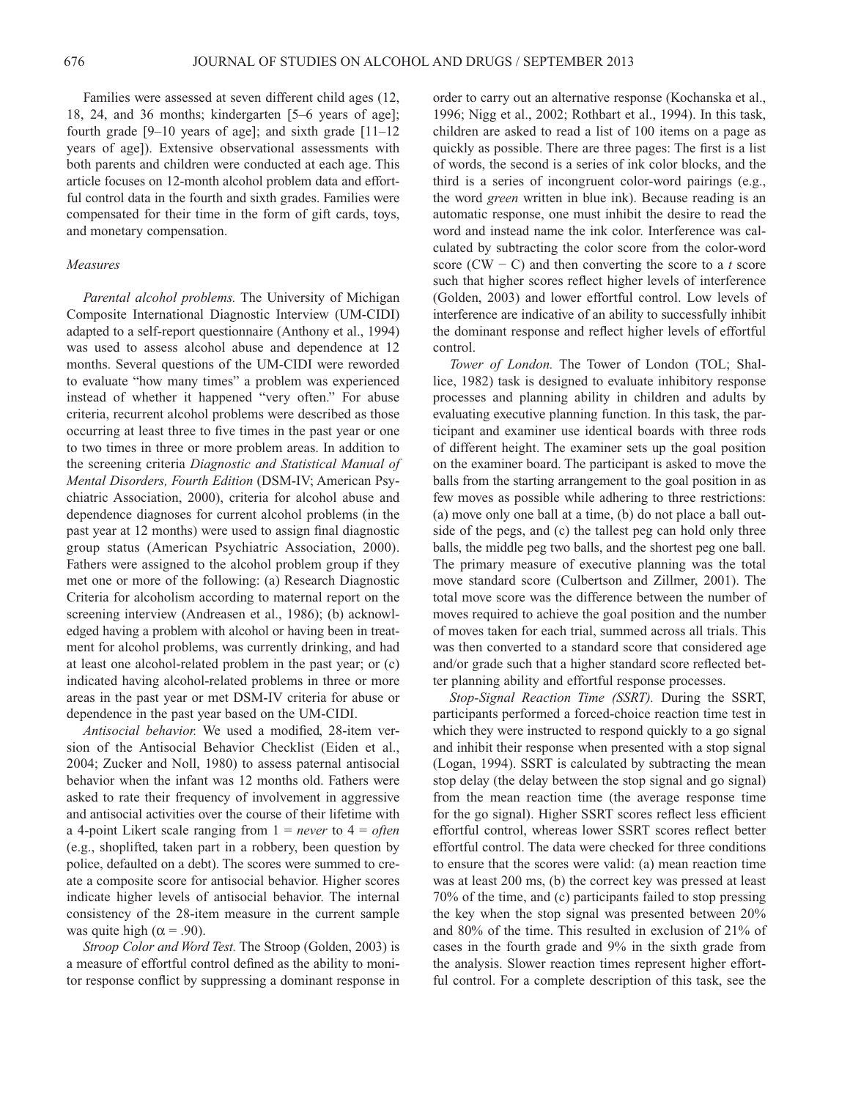Families were assessed at seven different child ages (12, 18, 24, and 36 months; kindergarten [5–6 years of age]; fourth grade  $[9-10$  years of age]; and sixth grade  $[11-12]$ years of age]). Extensive observational assessments with both parents and children were conducted at each age. This article focuses on 12-month alcohol problem data and effortful control data in the fourth and sixth grades. Families were compensated for their time in the form of gift cards, toys, and monetary compensation.

## *Measures*

*Parental alcohol problems.* The University of Michigan Composite International Diagnostic Interview (UM-CIDI) adapted to a self-report questionnaire (Anthony et al., 1994) was used to assess alcohol abuse and dependence at 12 months. Several questions of the UM-CIDI were reworded to evaluate "how many times" a problem was experienced instead of whether it happened "very often." For abuse criteria, recurrent alcohol problems were described as those occurring at least three to five times in the past year or one to two times in three or more problem areas. In addition to the screening criteria *Diagnostic and Statistical Manual of Mental Disorders, Fourth Edition* (DSM-IV; American Psychiatric Association, 2000), criteria for alcohol abuse and dependence diagnoses for current alcohol problems (in the past year at 12 months) were used to assign final diagnostic group status (American Psychiatric Association, 2000). Fathers were assigned to the alcohol problem group if they met one or more of the following: (a) Research Diagnostic Criteria for alcoholism according to maternal report on the screening interview (Andreasen et al., 1986); (b) acknowledged having a problem with alcohol or having been in treatment for alcohol problems, was currently drinking, and had at least one alcohol-related problem in the past year; or (c) indicated having alcohol-related problems in three or more areas in the past year or met DSM-IV criteria for abuse or dependence in the past year based on the UM-CIDI.

*Antisocial behavior.* We used a modified, 28-item version of the Antisocial Behavior Checklist (Eiden et al., 2004; Zucker and Noll, 1980) to assess paternal antisocial behavior when the infant was 12 months old. Fathers were asked to rate their frequency of involvement in aggressive and antisocial activities over the course of their lifetime with a 4-point Likert scale ranging from 1 = *never* to 4 = *often* (e.g., shoplifted, taken part in a robbery, been question by police, defaulted on a debt). The scores were summed to create a composite score for antisocial behavior. Higher scores indicate higher levels of antisocial behavior. The internal consistency of the 28-item measure in the current sample was quite high ( $\alpha$  = .90).

*Stroop Color and Word Test.* The Stroop (Golden, 2003) is a measure of effortful control defined as the ability to monitor response conflict by suppressing a dominant response in order to carry out an alternative response (Kochanska et al., 1996; Nigg et al., 2002; Rothbart et al., 1994). In this task, children are asked to read a list of 100 items on a page as quickly as possible. There are three pages: The first is a list of words, the second is a series of ink color blocks, and the third is a series of incongruent color-word pairings (e.g., the word *green* written in blue ink). Because reading is an automatic response, one must inhibit the desire to read the word and instead name the ink color. Interference was calculated by subtracting the color score from the color-word score (CW − C) and then converting the score to a *t* score such that higher scores reflect higher levels of interference (Golden, 2003) and lower effortful control. Low levels of interference are indicative of an ability to successfully inhibit the dominant response and reflect higher levels of effortful control.

*Tower of London.* The Tower of London (TOL; Shallice, 1982) task is designed to evaluate inhibitory response processes and planning ability in children and adults by evaluating executive planning function. In this task, the participant and examiner use identical boards with three rods of different height. The examiner sets up the goal position on the examiner board. The participant is asked to move the balls from the starting arrangement to the goal position in as few moves as possible while adhering to three restrictions: (a) move only one ball at a time, (b) do not place a ball outside of the pegs, and (c) the tallest peg can hold only three balls, the middle peg two balls, and the shortest peg one ball. The primary measure of executive planning was the total move standard score (Culbertson and Zillmer, 2001). The total move score was the difference between the number of moves required to achieve the goal position and the number of moves taken for each trial, summed across all trials. This was then converted to a standard score that considered age and/or grade such that a higher standard score reflected better planning ability and effortful response processes.

*Stop-Signal Reaction Time (SSRT).* During the SSRT, participants performed a forced-choice reaction time test in which they were instructed to respond quickly to a go signal and inhibit their response when presented with a stop signal (Logan, 1994). SSRT is calculated by subtracting the mean stop delay (the delay between the stop signal and go signal) from the mean reaction time (the average response time for the go signal). Higher SSRT scores reflect less efficient effortful control, whereas lower SSRT scores reflect better effortful control. The data were checked for three conditions to ensure that the scores were valid: (a) mean reaction time was at least 200 ms, (b) the correct key was pressed at least 70% of the time, and (c) participants failed to stop pressing the key when the stop signal was presented between 20% and 80% of the time. This resulted in exclusion of 21% of cases in the fourth grade and 9% in the sixth grade from the analysis. Slower reaction times represent higher effortful control. For a complete description of this task, see the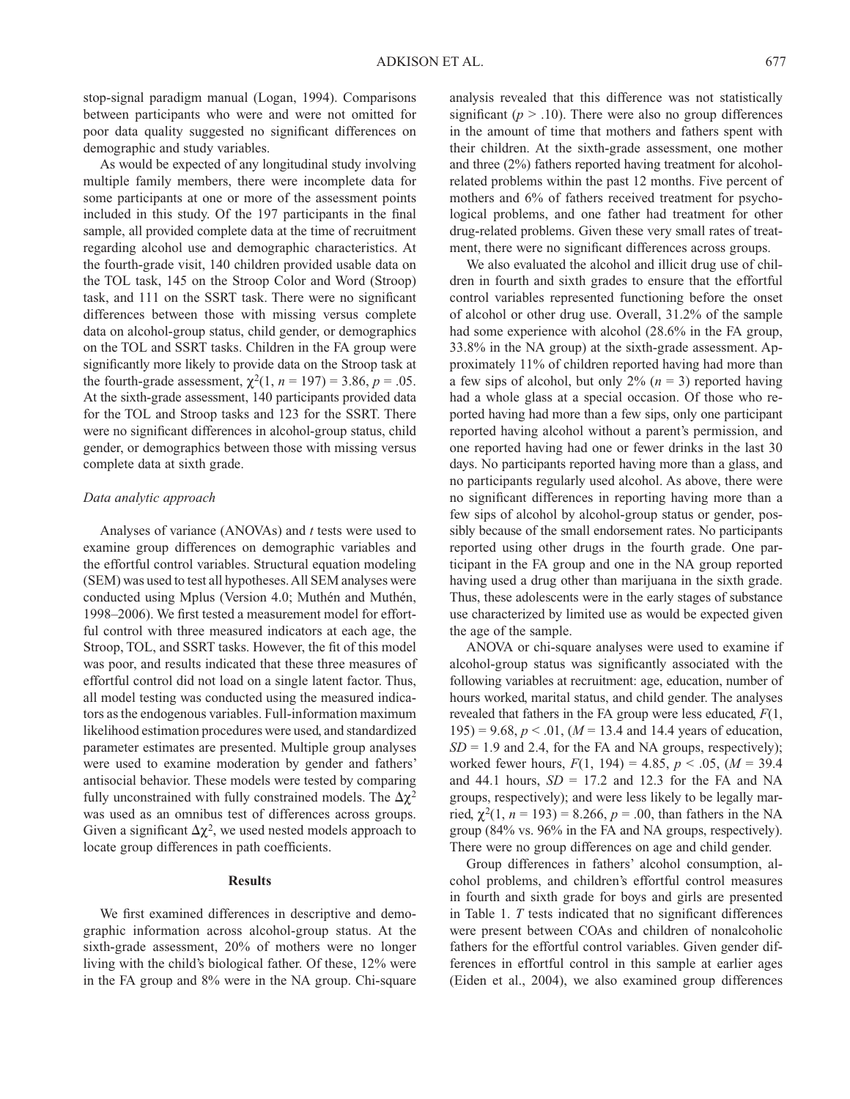stop-signal paradigm manual (Logan, 1994). Comparisons between participants who were and were not omitted for poor data quality suggested no significant differences on demographic and study variables.

 As would be expected of any longitudinal study involving multiple family members, there were incomplete data for some participants at one or more of the assessment points included in this study. Of the 197 participants in the final sample, all provided complete data at the time of recruitment regarding alcohol use and demographic characteristics. At the fourth-grade visit, 140 children provided usable data on the TOL task, 145 on the Stroop Color and Word (Stroop) task, and 111 on the SSRT task. There were no significant differences between those with missing versus complete data on alcohol-group status, child gender, or demographics on the TOL and SSRT tasks. Children in the FA group were significantly more likely to provide data on the Stroop task at the fourth-grade assessment,  $\chi^2(1, n = 197) = 3.86$ ,  $p = .05$ . At the sixth-grade assessment, 140 participants provided data for the TOL and Stroop tasks and 123 for the SSRT. There were no significant differences in alcohol-group status, child gender, or demographics between those with missing versus complete data at sixth grade.

## *Data analytic approach*

 Analyses of variance (ANOVAs) and *t* tests were used to examine group differences on demographic variables and the effortful control variables. Structural equation modeling (SEM) was used to test all hypotheses. All SEM analyses were conducted using Mplus (Version 4.0; Muthén and Muthén, 1998–2006). We first tested a measurement model for effortful control with three measured indicators at each age, the Stroop, TOL, and SSRT tasks. However, the fit of this model was poor, and results indicated that these three measures of effortful control did not load on a single latent factor. Thus, all model testing was conducted using the measured indicators as the endogenous variables. Full-information maximum likelihood estimation procedures were used, and standardized parameter estimates are presented. Multiple group analyses were used to examine moderation by gender and fathers' antisocial behavior. These models were tested by comparing fully unconstrained with fully constrained models. The  $\Delta \chi^2$ was used as an omnibus test of differences across groups. Given a significant  $\Delta \chi^2$ , we used nested models approach to locate group differences in path coefficients.

## **Results**

We first examined differences in descriptive and demographic information across alcohol-group status. At the sixth-grade assessment, 20% of mothers were no longer living with the child's biological father. Of these, 12% were in the FA group and 8% were in the NA group. Chi-square analysis revealed that this difference was not statistically significant ( $p > .10$ ). There were also no group differences in the amount of time that mothers and fathers spent with their children. At the sixth-grade assessment, one mother and three (2%) fathers reported having treatment for alcoholrelated problems within the past 12 months. Five percent of mothers and 6% of fathers received treatment for psychological problems, and one father had treatment for other drug-related problems. Given these very small rates of treatment, there were no significant differences across groups.

 We also evaluated the alcohol and illicit drug use of children in fourth and sixth grades to ensure that the effortful control variables represented functioning before the onset of alcohol or other drug use. Overall, 31.2% of the sample had some experience with alcohol (28.6% in the FA group, 33.8% in the NA group) at the sixth-grade assessment. Approximately 11% of children reported having had more than a few sips of alcohol, but only  $2\%$  ( $n = 3$ ) reported having had a whole glass at a special occasion. Of those who reported having had more than a few sips, only one participant reported having alcohol without a parent's permission, and one reported having had one or fewer drinks in the last 30 days. No participants reported having more than a glass, and no participants regularly used alcohol. As above, there were no significant differences in reporting having more than a few sips of alcohol by alcohol-group status or gender, possibly because of the small endorsement rates. No participants reported using other drugs in the fourth grade. One participant in the FA group and one in the NA group reported having used a drug other than marijuana in the sixth grade. Thus, these adolescents were in the early stages of substance use characterized by limited use as would be expected given the age of the sample.

 ANOVA or chi-square analyses were used to examine if alcohol-group status was significantly associated with the following variables at recruitment: age, education, number of hours worked, marital status, and child gender. The analyses revealed that fathers in the FA group were less educated, *F*(1, 195) = 9.68, *p* < .01, (*M* = 13.4 and 14.4 years of education,  $SD = 1.9$  and 2.4, for the FA and NA groups, respectively); worked fewer hours, *F*(1, 194) = 4.85, *p* < .05, (*M* = 39.4 and 44.1 hours,  $SD = 17.2$  and 12.3 for the FA and NA groups, respectively); and were less likely to be legally married,  $\chi^2(1, n = 193) = 8.266$ ,  $p = .00$ , than fathers in the NA group (84% vs. 96% in the FA and NA groups, respectively). There were no group differences on age and child gender.

 Group differences in fathers' alcohol consumption, alcohol problems, and children's effortful control measures in fourth and sixth grade for boys and girls are presented in Table 1.  $T$  tests indicated that no significant differences were present between COAs and children of nonalcoholic fathers for the effortful control variables. Given gender differences in effortful control in this sample at earlier ages (Eiden et al., 2004), we also examined group differences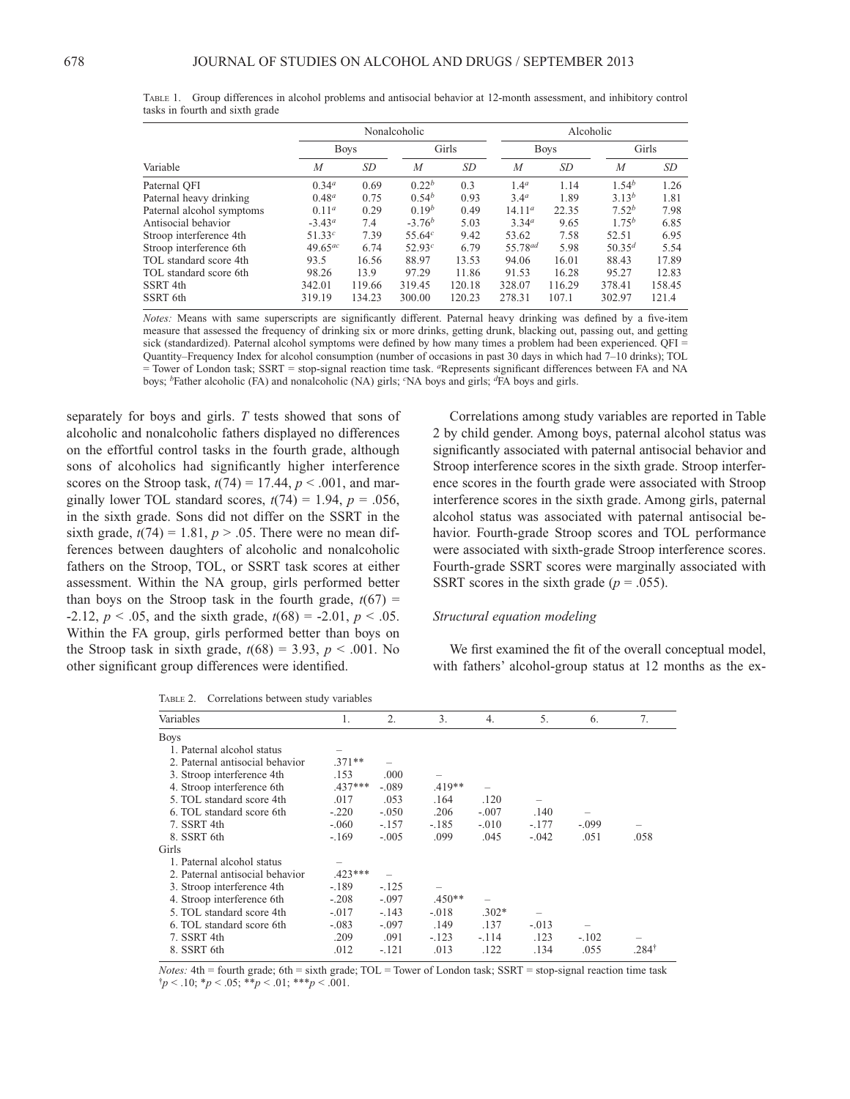| Variable                  |                   | Nonalcoholic |                   |        |                     | Alcoholic |                   |        |  |
|---------------------------|-------------------|--------------|-------------------|--------|---------------------|-----------|-------------------|--------|--|
|                           | <b>Boys</b>       |              | Girls             |        | <b>Boys</b>         |           | Girls             |        |  |
|                           | M                 | SD           | $\overline{M}$    | SD     | $\boldsymbol{M}$    | SD        | $\overline{M}$    | SD     |  |
| Paternal OFI              | 0.34 <sup>a</sup> | 0.69         | 0.22 <sup>b</sup> | 0.3    | 1.4 <sup>a</sup>    | 1.14      | 1.54 <sup>b</sup> | 1.26   |  |
| Paternal heavy drinking   | $0.48^{a}$        | 0.75         | $0.54^{b}$        | 0.93   | 3.4 <sup>a</sup>    | 1.89      | $3.13^{b}$        | 1.81   |  |
| Paternal alcohol symptoms | $0.11^a$          | 0.29         | 0.19 <sup>b</sup> | 0.49   | 14.11 <sup>a</sup>  | 22.35     | 7.52 <sup>b</sup> | 7.98   |  |
| Antisocial behavior       | $-3.43a$          | 7.4          | $-3.76b$          | 5.03   | 3.34 <sup>a</sup>   | 9.65      | $1.75^{b}$        | 6.85   |  |
| Stroop interference 4th   | 51.33c            | 7.39         | 55.64c            | 9.42   | 53.62               | 7.58      | 52.51             | 6.95   |  |
| Stroop interference 6th   | $49.65^{ac}$      | 6.74         | 52.93c            | 6.79   | 55.78 <sup>ad</sup> | 5.98      | $50.35^{d}$       | 5.54   |  |
| TOL standard score 4th    | 93.5              | 16.56        | 88.97             | 13.53  | 94.06               | 16.01     | 88.43             | 17.89  |  |
| TOL standard score 6th    | 98.26             | 13.9         | 97.29             | 11.86  | 91.53               | 16.28     | 95.27             | 12.83  |  |
| SSRT <sub>4th</sub>       | 342.01            | 119.66       | 319.45            | 120.18 | 328.07              | 116.29    | 378.41            | 158.45 |  |
| SSRT 6th                  | 319.19            | 134.23       | 300.00            | 120.23 | 278.31              | 107.1     | 302.97            | 121.4  |  |

TABLE 1. Group differences in alcohol problems and antisocial behavior at 12-month assessment, and inhibitory control tasks in fourth and sixth grade

*Notes:* Means with same superscripts are significantly different. Paternal heavy drinking was defined by a five-item measure that assessed the frequency of drinking six or more drinks, getting drunk, blacking out, passing out, and getting sick (standardized). Paternal alcohol symptoms were defined by how many times a problem had been experienced. QFI = Quantity–Frequency Index for alcohol consumption (number of occasions in past 30 days in which had 7–10 drinks); TOL = Tower of London task; SSRT = stop-signal reaction time task. *a*Represents significant differences between FA and NA boys; *b*Father alcoholic (FA) and nonalcoholic (NA) girls; *c*NA boys and girls; *d*FA boys and girls.

separately for boys and girls. *T* tests showed that sons of alcoholic and nonalcoholic fathers displayed no differences on the effortful control tasks in the fourth grade, although sons of alcoholics had significantly higher interference scores on the Stroop task,  $t(74) = 17.44$ ,  $p < .001$ , and marginally lower TOL standard scores,  $t(74) = 1.94$ ,  $p = .056$ , in the sixth grade. Sons did not differ on the SSRT in the sixth grade,  $t(74) = 1.81$ ,  $p > .05$ . There were no mean differences between daughters of alcoholic and nonalcoholic fathers on the Stroop, TOL, or SSRT task scores at either assessment. Within the NA group, girls performed better than boys on the Stroop task in the fourth grade,  $t(67)$  =  $-2.12, p < .05$ , and the sixth grade,  $t(68) = -2.01, p < .05$ . Within the FA group, girls performed better than boys on the Stroop task in sixth grade,  $t(68) = 3.93$ ,  $p < .001$ . No other significant group differences were identified.

TABLE 2. Correlations between study variables

 Correlations among study variables are reported in Table 2 by child gender. Among boys, paternal alcohol status was significantly associated with paternal antisocial behavior and Stroop interference scores in the sixth grade. Stroop interference scores in the fourth grade were associated with Stroop interference scores in the sixth grade. Among girls, paternal alcohol status was associated with paternal antisocial behavior. Fourth-grade Stroop scores and TOL performance were associated with sixth-grade Stroop interference scores. Fourth-grade SSRT scores were marginally associated with SSRT scores in the sixth grade ( $p = .055$ ).

# *Structural equation modeling*

We first examined the fit of the overall conceptual model, with fathers' alcohol-group status at 12 months as the ex-

| $1.0000 \pm 0.00101010000$      |           |         |          |         |         |         |      |  |  |  |  |  |
|---------------------------------|-----------|---------|----------|---------|---------|---------|------|--|--|--|--|--|
| Variables                       | 1.        | 2.      | 3.       | 4.      | 5.      | 6.      | 7.   |  |  |  |  |  |
| <b>Boys</b>                     |           |         |          |         |         |         |      |  |  |  |  |  |
| 1. Paternal alcohol status      |           |         |          |         |         |         |      |  |  |  |  |  |
| 2. Paternal antisocial behavior | $.371**$  |         |          |         |         |         |      |  |  |  |  |  |
| 3. Stroop interference 4th      | .153      | .000    |          |         |         |         |      |  |  |  |  |  |
| 4. Stroop interference 6th      | $.437***$ | $-.089$ | $.419**$ |         |         |         |      |  |  |  |  |  |
| 5. TOL standard score 4th       | .017      | .053    | .164     | .120    |         |         |      |  |  |  |  |  |
| 6. TOL standard score 6th       | $-.220$   | $-.050$ | .206     | $-.007$ | .140    |         |      |  |  |  |  |  |
| 7. SSRT 4th                     | $-.060$   | $-.157$ | $-.185$  | $-.010$ | $-.177$ | $-.099$ |      |  |  |  |  |  |
| 8. SSRT 6th                     | $-.169$   | $-.005$ | .099     | .045    | $-.042$ | .051    | .058 |  |  |  |  |  |
| Girls                           |           |         |          |         |         |         |      |  |  |  |  |  |
| 1. Paternal alcohol status      |           |         |          |         |         |         |      |  |  |  |  |  |
| 2. Paternal antisocial behavior | $.423***$ |         |          |         |         |         |      |  |  |  |  |  |
| 3. Stroop interference 4th      | $-.189$   | $-.125$ |          |         |         |         |      |  |  |  |  |  |
| 4. Stroop interference 6th      | $-.208$   | $-.097$ | $.450**$ |         |         |         |      |  |  |  |  |  |
| 5. TOL standard score 4th       | $-.017$   | $-.143$ | $-.018$  | $.302*$ |         |         |      |  |  |  |  |  |
| 6. TOL standard score 6th       | $-.083$   | $-.097$ | .149     | .137    | $-.013$ |         |      |  |  |  |  |  |
| 7. SSRT 4th                     | .209      | .091    | $-.123$  | $-.114$ | .123    | $-.102$ |      |  |  |  |  |  |
| 8. SSRT 6th                     | .012      | $-.121$ | .013     | .122    | .134    | .055    | 284† |  |  |  |  |  |
|                                 |           |         |          |         |         |         |      |  |  |  |  |  |

*Notes:* 4th = fourth grade; 6th = sixth grade; TOL = Tower of London task; SSRT = stop-signal reaction time task  $\uparrow p < .10; \, \uparrow p < .05; \, \uparrow \uparrow p < .01; \, \uparrow \uparrow \uparrow p < .001.$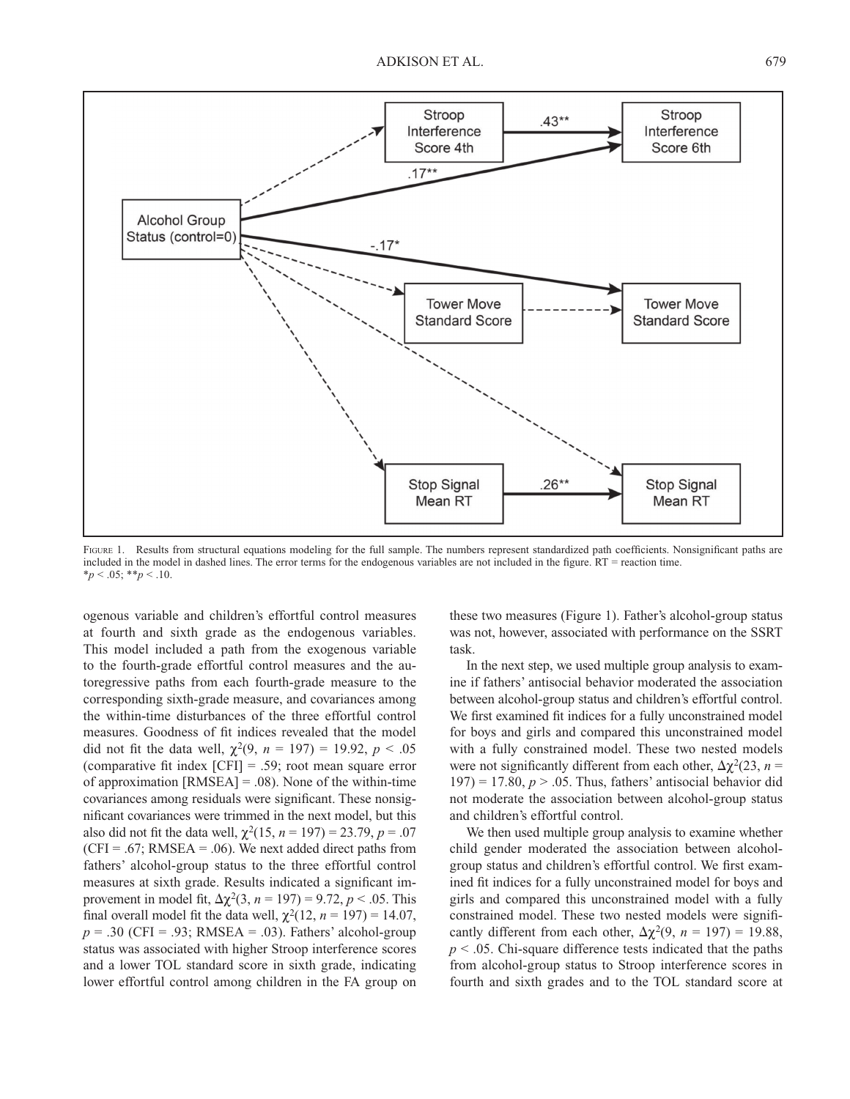

FIGURE 1. Results from structural equations modeling for the full sample. The numbers represent standardized path coefficients. Nonsignificant paths are included in the model in dashed lines. The error terms for the endogenous variables are not included in the figure. RT = reaction time.  $*_{p}$  < .05;  $*_{p}$  < .10.

ogenous variable and children's effortful control measures at fourth and sixth grade as the endogenous variables. This model included a path from the exogenous variable to the fourth-grade effortful control measures and the autoregressive paths from each fourth-grade measure to the corresponding sixth-grade measure, and covariances among the within-time disturbances of the three effortful control measures. Goodness of fit indices revealed that the model did not fit the data well,  $\chi^2(9, n = 197) = 19.92, p < .05$ (comparative fit index  $[CFI] = .59$ ; root mean square error of approximation [RMSEA] = .08). None of the within-time covariances among residuals were significant. These nonsignificant covariances were trimmed in the next model, but this also did not fit the data well,  $\chi^2(15, n = 197) = 23.79, p = .07$  $(CFI = .67; RMSEA = .06)$ . We next added direct paths from fathers' alcohol-group status to the three effortful control measures at sixth grade. Results indicated a significant improvement in model fit,  $\Delta \chi^2(3, n = 197) = 9.72, p < .05$ . This final overall model fit the data well,  $\chi^2(12, n = 197) = 14.07$ ,  $p = .30$  (CFI = .93; RMSEA = .03). Fathers' alcohol-group status was associated with higher Stroop interference scores and a lower TOL standard score in sixth grade, indicating lower effortful control among children in the FA group on

these two measures (Figure 1). Father's alcohol-group status was not, however, associated with performance on the SSRT task.

 In the next step, we used multiple group analysis to examine if fathers' antisocial behavior moderated the association between alcohol-group status and children's effortful control. We first examined fit indices for a fully unconstrained model for boys and girls and compared this unconstrained model with a fully constrained model. These two nested models were not significantly different from each other,  $\Delta \chi^2(23, n =$  $197$ ) = 17.80,  $p > .05$ . Thus, fathers' antisocial behavior did not moderate the association between alcohol-group status and children's effortful control.

 We then used multiple group analysis to examine whether child gender moderated the association between alcoholgroup status and children's effortful control. We first examined fit indices for a fully unconstrained model for boys and girls and compared this unconstrained model with a fully constrained model. These two nested models were significantly different from each other,  $\Delta \chi^2(9, n = 197) = 19.88$ ,  $p < .05$ . Chi-square difference tests indicated that the paths from alcohol-group status to Stroop interference scores in fourth and sixth grades and to the TOL standard score at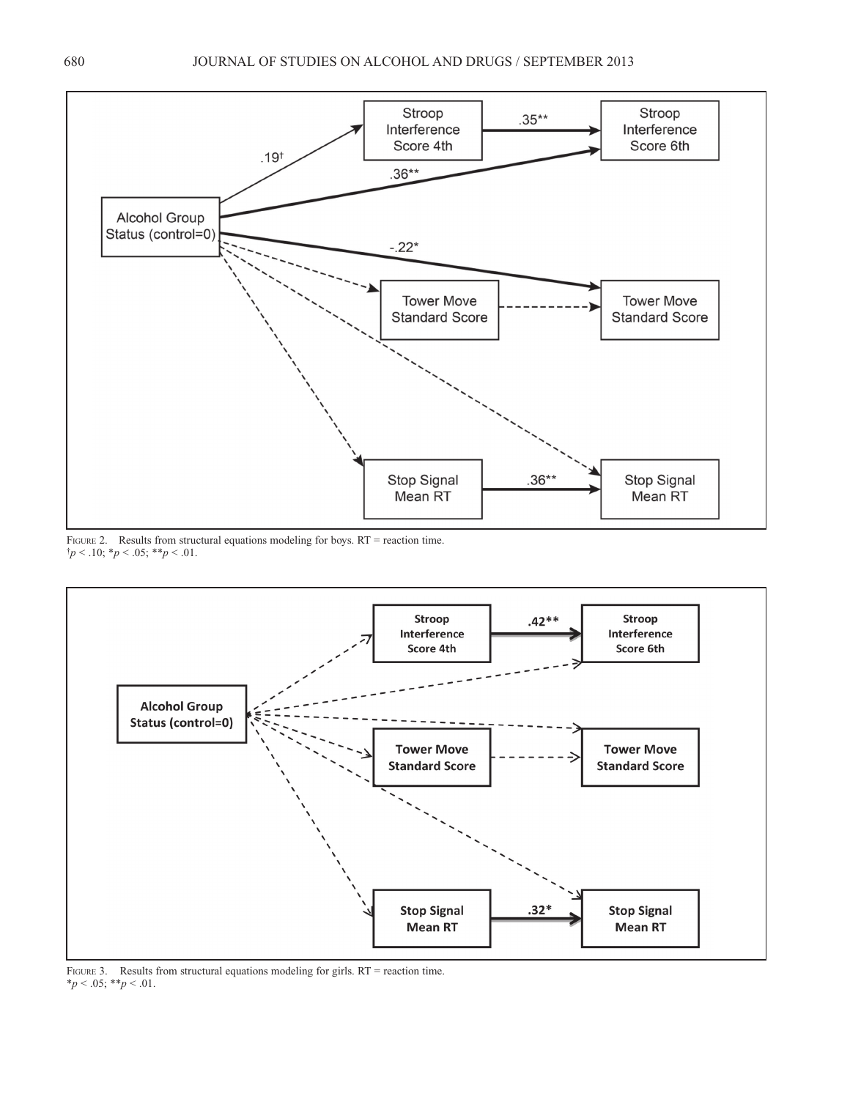![](_page_6_Figure_1.jpeg)

FIGURE 2. Results from structural equations modeling for boys. RT = reaction time.  $\uparrow p < .10; \uparrow p < .05; \uparrow \uparrow p < .01.$ 

![](_page_6_Figure_3.jpeg)

FIGURE 3. Results from structural equations modeling for girls. RT = reaction time.  $*_{p}$  < .05;  $*_{p}$  < .01.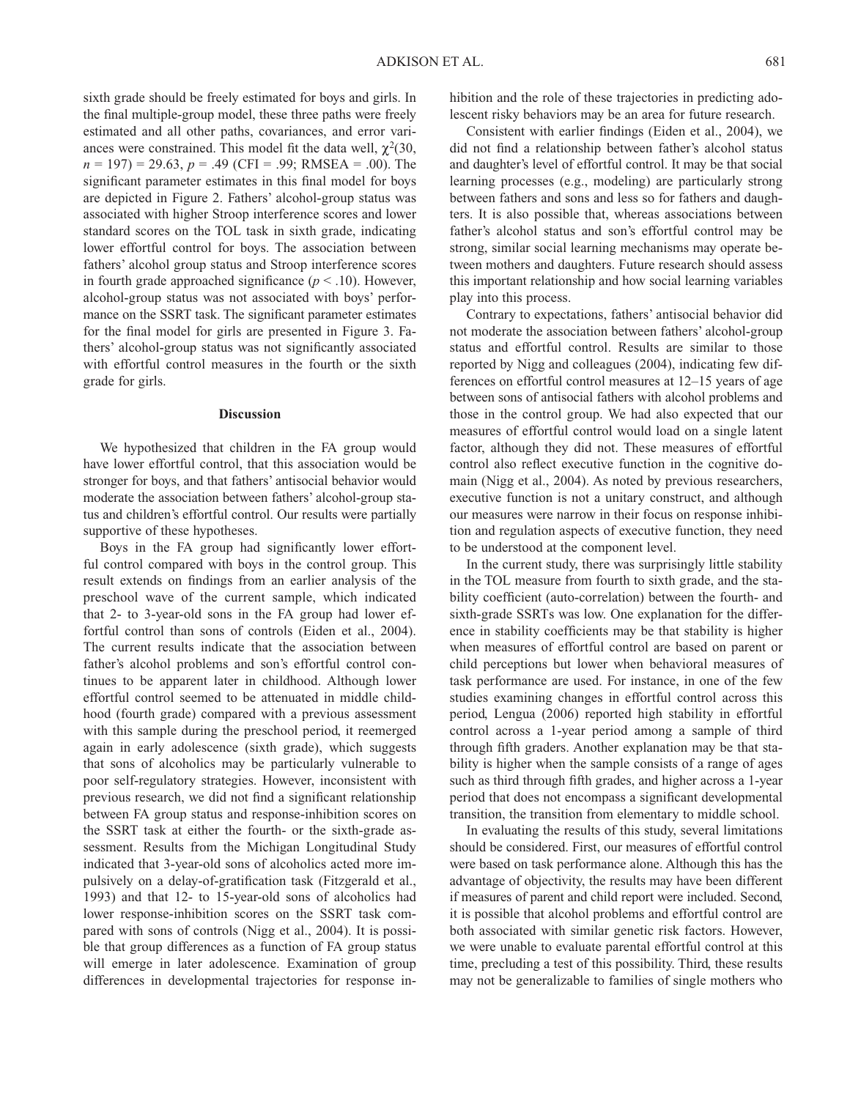sixth grade should be freely estimated for boys and girls. In the final multiple-group model, these three paths were freely estimated and all other paths, covariances, and error variances were constrained. This model fit the data well,  $\chi^2(30,$ *n* = 197) = 29.63, *p* = .49 (CFI = .99; RMSEA = .00). The significant parameter estimates in this final model for boys are depicted in Figure 2. Fathers' alcohol-group status was associated with higher Stroop interference scores and lower standard scores on the TOL task in sixth grade, indicating lower effortful control for boys. The association between fathers' alcohol group status and Stroop interference scores in fourth grade approached significance  $(p < .10)$ . However, alcohol-group status was not associated with boys' performance on the SSRT task. The significant parameter estimates for the final model for girls are presented in Figure 3. Fathers' alcohol-group status was not significantly associated with effortful control measures in the fourth or the sixth grade for girls.

#### **Discussion**

 We hypothesized that children in the FA group would have lower effortful control, that this association would be stronger for boys, and that fathers' antisocial behavior would moderate the association between fathers' alcohol-group status and children's effortful control. Our results were partially supportive of these hypotheses.

Boys in the FA group had significantly lower effortful control compared with boys in the control group. This result extends on findings from an earlier analysis of the preschool wave of the current sample, which indicated that 2- to 3-year-old sons in the FA group had lower effortful control than sons of controls (Eiden et al., 2004). The current results indicate that the association between father's alcohol problems and son's effortful control continues to be apparent later in childhood. Although lower effortful control seemed to be attenuated in middle childhood (fourth grade) compared with a previous assessment with this sample during the preschool period, it reemerged again in early adolescence (sixth grade), which suggests that sons of alcoholics may be particularly vulnerable to poor self-regulatory strategies. However, inconsistent with previous research, we did not find a significant relationship between FA group status and response-inhibition scores on the SSRT task at either the fourth- or the sixth-grade assessment. Results from the Michigan Longitudinal Study indicated that 3-year-old sons of alcoholics acted more impulsively on a delay-of-gratification task (Fitzgerald et al., 1993) and that 12- to 15-year-old sons of alcoholics had lower response-inhibition scores on the SSRT task compared with sons of controls (Nigg et al., 2004). It is possible that group differences as a function of FA group status will emerge in later adolescence. Examination of group differences in developmental trajectories for response inhibition and the role of these trajectories in predicting adolescent risky behaviors may be an area for future research.

Consistent with earlier findings (Eiden et al., 2004), we did not find a relationship between father's alcohol status and daughter's level of effortful control. It may be that social learning processes (e.g., modeling) are particularly strong between fathers and sons and less so for fathers and daughters. It is also possible that, whereas associations between father's alcohol status and son's effortful control may be strong, similar social learning mechanisms may operate between mothers and daughters. Future research should assess this important relationship and how social learning variables play into this process.

 Contrary to expectations, fathers' antisocial behavior did not moderate the association between fathers' alcohol-group status and effortful control. Results are similar to those reported by Nigg and colleagues (2004), indicating few differences on effortful control measures at 12–15 years of age between sons of antisocial fathers with alcohol problems and those in the control group. We had also expected that our measures of effortful control would load on a single latent factor, although they did not. These measures of effortful control also reflect executive function in the cognitive domain (Nigg et al., 2004). As noted by previous researchers, executive function is not a unitary construct, and although our measures were narrow in their focus on response inhibition and regulation aspects of executive function, they need to be understood at the component level.

 In the current study, there was surprisingly little stability in the TOL measure from fourth to sixth grade, and the stability coefficient (auto-correlation) between the fourth- and sixth-grade SSRTs was low. One explanation for the difference in stability coefficients may be that stability is higher when measures of effortful control are based on parent or child perceptions but lower when behavioral measures of task performance are used. For instance, in one of the few studies examining changes in effortful control across this period, Lengua (2006) reported high stability in effortful control across a 1-year period among a sample of third through fifth graders. Another explanation may be that stability is higher when the sample consists of a range of ages such as third through fifth grades, and higher across a 1-year period that does not encompass a significant developmental transition, the transition from elementary to middle school.

 In evaluating the results of this study, several limitations should be considered. First, our measures of effortful control were based on task performance alone. Although this has the advantage of objectivity, the results may have been different if measures of parent and child report were included. Second, it is possible that alcohol problems and effortful control are both associated with similar genetic risk factors. However, we were unable to evaluate parental effortful control at this time, precluding a test of this possibility. Third, these results may not be generalizable to families of single mothers who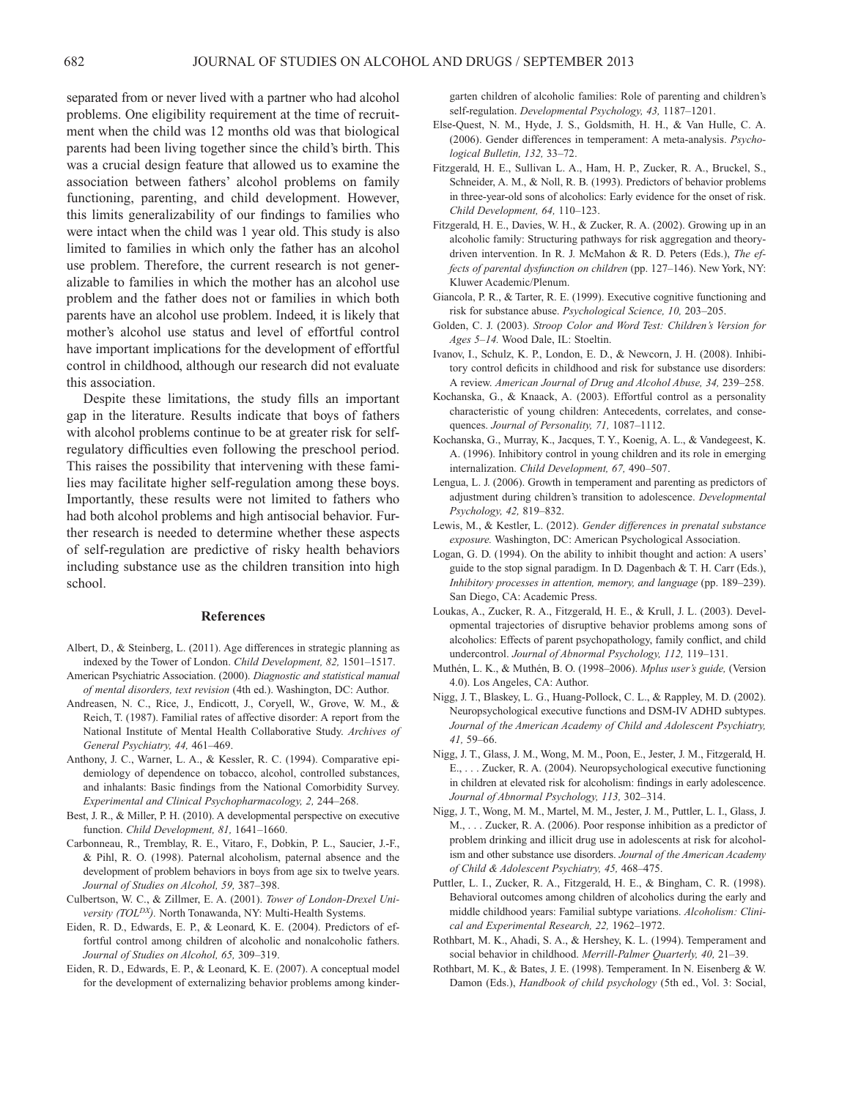separated from or never lived with a partner who had alcohol problems. One eligibility requirement at the time of recruitment when the child was 12 months old was that biological parents had been living together since the child's birth. This was a crucial design feature that allowed us to examine the association between fathers' alcohol problems on family functioning, parenting, and child development. However, this limits generalizability of our findings to families who were intact when the child was 1 year old. This study is also limited to families in which only the father has an alcohol use problem. Therefore, the current research is not generalizable to families in which the mother has an alcohol use problem and the father does not or families in which both parents have an alcohol use problem. Indeed, it is likely that mother's alcohol use status and level of effortful control have important implications for the development of effortful control in childhood, although our research did not evaluate this association.

Despite these limitations, the study fills an important gap in the literature. Results indicate that boys of fathers with alcohol problems continue to be at greater risk for selfregulatory difficulties even following the preschool period. This raises the possibility that intervening with these families may facilitate higher self-regulation among these boys. Importantly, these results were not limited to fathers who had both alcohol problems and high antisocial behavior. Further research is needed to determine whether these aspects of self-regulation are predictive of risky health behaviors including substance use as the children transition into high school.

## **References**

- Albert, D., & Steinberg, L. (2011). Age differences in strategic planning as indexed by the Tower of London. *Child Development, 82,* 1501–1517.
- American Psychiatric Association. (2000). *Diagnostic and statistical manual of mental disorders, text revision* (4th ed.). Washington, DC: Author.
- Andreasen, N. C., Rice, J., Endicott, J., Coryell, W., Grove, W. M., & Reich, T. (1987). Familial rates of affective disorder: A report from the National Institute of Mental Health Collaborative Study. *Archives of General Psychiatry, 44,* 461–469.
- Anthony, J. C., Warner, L. A., & Kessler, R. C. (1994). Comparative epidemiology of dependence on tobacco, alcohol, controlled substances, and inhalants: Basic findings from the National Comorbidity Survey. *Experimental and Clinical Psychopharmacology, 2,* 244–268.
- Best, J. R., & Miller, P. H. (2010). A developmental perspective on executive function. *Child Development, 81,* 1641–1660.
- Carbonneau, R., Tremblay, R. E., Vitaro, F., Dobkin, P. L., Saucier, J.-F., & Pihl, R. O. (1998). Paternal alcoholism, paternal absence and the development of problem behaviors in boys from age six to twelve years. *Journal of Studies on Alcohol, 59,* 387–398.
- Culbertson, W. C., & Zillmer, E. A. (2001). *Tower of London-Drexel University (TOL<sup>DX</sup>)*. North Tonawanda, NY: Multi-Health Systems.
- Eiden, R. D., Edwards, E. P., & Leonard, K. E. (2004). Predictors of effortful control among children of alcoholic and nonalcoholic fathers. *Journal of Studies on Alcohol, 65,* 309–319.
- Eiden, R. D., Edwards, E. P., & Leonard, K. E. (2007). A conceptual model for the development of externalizing behavior problems among kinder-

garten children of alcoholic families: Role of parenting and children's self-regulation. *Developmental Psychology, 43,* 1187–1201.

- Else-Quest, N. M., Hyde, J. S., Goldsmith, H. H., & Van Hulle, C. A. (2006). Gender differences in temperament: A meta-analysis. *Psychological Bulletin, 132,* 33–72.
- Fitzgerald, H. E., Sullivan L. A., Ham, H. P., Zucker, R. A., Bruckel, S., Schneider, A. M., & Noll, R. B. (1993). Predictors of behavior problems in three-year-old sons of alcoholics: Early evidence for the onset of risk. *Child Development, 64,* 110–123.
- Fitzgerald, H. E., Davies, W. H., & Zucker, R. A. (2002). Growing up in an alcoholic family: Structuring pathways for risk aggregation and theorydriven intervention. In R. J. McMahon & R. D. Peters (Eds.), *The effects of parental dysfunction on children* (pp. 127–146). New York, NY: Kluwer Academic/Plenum.
- Giancola, P. R., & Tarter, R. E. (1999). Executive cognitive functioning and risk for substance abuse. *Psychological Science, 10,* 203–205.
- Golden, C. J. (2003). *Stroop Color and Word Test: Children's Version for Ages 5–14.* Wood Dale, IL: Stoeltin.
- Ivanov, I., Schulz, K. P., London, E. D., & Newcorn, J. H. (2008). Inhibitory control deficits in childhood and risk for substance use disorders: A review. *American Journal of Drug and Alcohol Abuse, 34,* 239–258.
- Kochanska, G., & Knaack, A. (2003). Effortful control as a personality characteristic of young children: Antecedents, correlates, and consequences. *Journal of Personality, 71,* 1087–1112.
- Kochanska, G., Murray, K., Jacques, T. Y., Koenig, A. L., & Vandegeest, K. A. (1996). Inhibitory control in young children and its role in emerging internalization. *Child Development, 67,* 490–507.
- Lengua, L. J. (2006). Growth in temperament and parenting as predictors of adjustment during children's transition to adolescence. *Developmental Psychology, 42,* 819–832.
- Lewis, M., & Kestler, L. (2012). *Gender differences in prenatal substance exposure.* Washington, DC: American Psychological Association.
- Logan, G. D. (1994). On the ability to inhibit thought and action: A users' guide to the stop signal paradigm. In D. Dagenbach & T. H. Carr (Eds.), *Inhibitory processes in attention, memory, and language* (pp. 189–239). San Diego, CA: Academic Press.
- Loukas, A., Zucker, R. A., Fitzgerald, H. E., & Krull, J. L. (2003). Developmental trajectories of disruptive behavior problems among sons of alcoholics: Effects of parent psychopathology, family conflict, and child undercontrol. *Journal of Abnormal Psychology, 112,* 119–131.
- Muthén, L. K., & Muthén, B. O. (1998–2006). *Mplus user's guide,* (Version 4.0). Los Angeles, CA: Author.
- Nigg, J. T., Blaskey, L. G., Huang-Pollock, C. L., & Rappley, M. D. (2002). Neuropsychological executive functions and DSM-IV ADHD subtypes. *Journal of the American Academy of Child and Adolescent Psychiatry, 41,* 59–66.
- Nigg, J. T., Glass, J. M., Wong, M. M., Poon, E., Jester, J. M., Fitzgerald, H. E., . . . Zucker, R. A. (2004). Neuropsychological executive functioning in children at elevated risk for alcoholism: findings in early adolescence. *Journal of Abnormal Psychology, 113,* 302–314.
- Nigg, J. T., Wong, M. M., Martel, M. M., Jester, J. M., Puttler, L. I., Glass, J. M., . . . Zucker, R. A. (2006). Poor response inhibition as a predictor of problem drinking and illicit drug use in adolescents at risk for alcoholism and other substance use disorders. *Journal of the American Academy of Child & Adolescent Psychiatry, 45,* 468–475.
- Puttler, L. I., Zucker, R. A., Fitzgerald, H. E., & Bingham, C. R. (1998). Behavioral outcomes among children of alcoholics during the early and middle childhood years: Familial subtype variations. *Alcoholism: Clinical and Experimental Research, 22,* 1962–1972.
- Rothbart, M. K., Ahadi, S. A., & Hershey, K. L. (1994). Temperament and social behavior in childhood. *Merrill-Palmer Quarterly, 40,* 21–39.
- Rothbart, M. K., & Bates, J. E. (1998). Temperament. In N. Eisenberg & W. Damon (Eds.), *Handbook of child psychology* (5th ed., Vol. 3: Social,